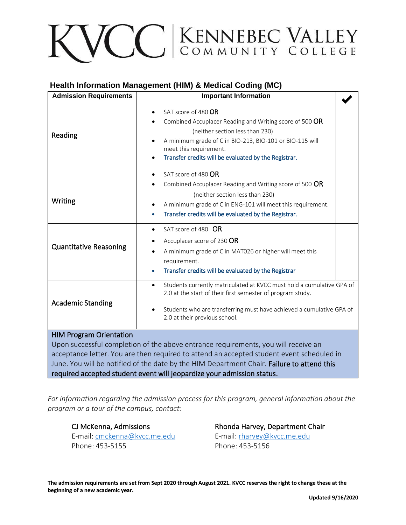# VCC ENNEBEC VALLEY

## **Health Information Management (HIM) & Medical Coding (MC)**

| <b>Admission Requirements</b>                                                                                                                                                                                                                                                                                   | <b>Important Information</b>                                                                                                                                                                                                                                                                   |  |
|-----------------------------------------------------------------------------------------------------------------------------------------------------------------------------------------------------------------------------------------------------------------------------------------------------------------|------------------------------------------------------------------------------------------------------------------------------------------------------------------------------------------------------------------------------------------------------------------------------------------------|--|
| Reading                                                                                                                                                                                                                                                                                                         | SAT score of 480 OR<br>$\bullet$<br>Combined Accuplacer Reading and Writing score of 500 OR<br>(neither section less than 230)<br>A minimum grade of C in BIO-213, BIO-101 or BIO-115 will<br>$\bullet$<br>meet this requirement.<br>Transfer credits will be evaluated by the Registrar.<br>٠ |  |
| Writing                                                                                                                                                                                                                                                                                                         | SAT score of 480 OR<br>$\bullet$<br>Combined Accuplacer Reading and Writing score of 500 OR<br>(neither section less than 230)<br>A minimum grade of C in ENG-101 will meet this requirement.<br>٠<br>Transfer credits will be evaluated by the Registrar.<br>$\bullet$                        |  |
| <b>Quantitative Reasoning</b>                                                                                                                                                                                                                                                                                   | SAT score of 480 OR<br>Accuplacer score of 230 OR<br>A minimum grade of C in MAT026 or higher will meet this<br>requirement.<br>Transfer credits will be evaluated by the Registrar<br>۰                                                                                                       |  |
| <b>Academic Standing</b>                                                                                                                                                                                                                                                                                        | Students currently matriculated at KVCC must hold a cumulative GPA of<br>$\bullet$<br>2.0 at the start of their first semester of program study.<br>Students who are transferring must have achieved a cumulative GPA of<br>$\bullet$<br>2.0 at their previous school.                         |  |
| <b>HIM Program Orientation</b><br>Upon successful completion of the above entrance requirements, you will receive an<br>acceptance letter. You are then required to attend an accepted student event scheduled in<br>June. You will be notified of the date by the HIM Department Chair. Failure to attend this |                                                                                                                                                                                                                                                                                                |  |

required accepted student event will jeopardize your admission status.

*For information regarding the admission process for this program, general information about the program or a tour of the campus, contact:*

E-mail: [cmckenna@kvcc.me.edu](mailto:cmckenna@kvcc.me.edu) E-mail: [rharvey@kvcc.me.edu](mailto:rharvey@kvcc.me.edu) Phone: 453-5155 Phone: 453-5156

CJ McKenna, Admissions **Rhonda Harvey, Department Chair**